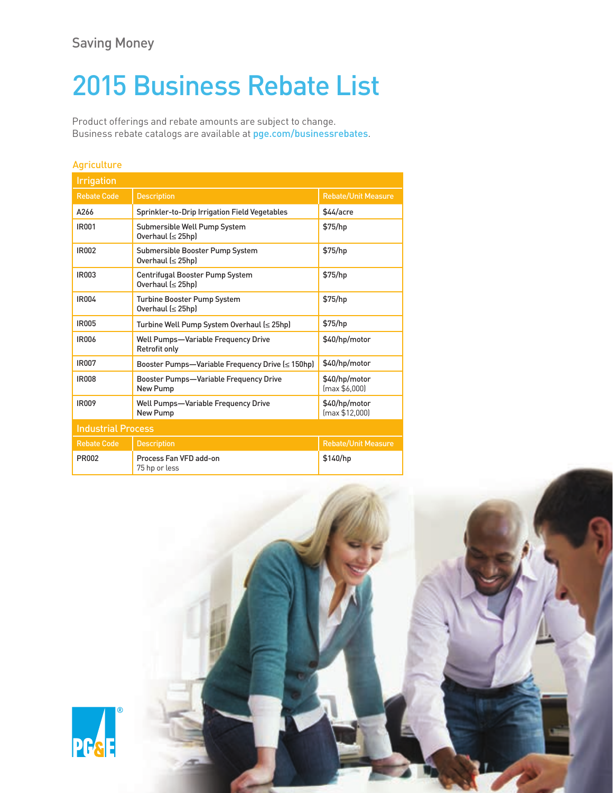# 2015 Business Rebate List

Product offerings and rebate amounts are subject to change. Business rebate catalogs are available at [pge.com/businessrebates](http://www.pge.com/businessrebates).

|  | <b>STATE OF BUILDING</b> |  |
|--|--------------------------|--|
|  |                          |  |

| <b>Irrigation</b>         |                                                                    |                                 |  |
|---------------------------|--------------------------------------------------------------------|---------------------------------|--|
| <b>Rebate Code</b>        | <b>Description</b>                                                 | <b>Rebate/Unit Measure</b>      |  |
| A266                      | Sprinkler-to-Drip Irrigation Field Vegetables                      | \$44/acre                       |  |
| <b>IR001</b>              | Submersible Well Pump System<br>Overhaul (≤ 25hp)                  | \$75/hp                         |  |
| IR002                     | Submersible Booster Pump System<br>Overhaul (≤ 25hp)               | \$75/hp                         |  |
| IR003                     | Centrifugal Booster Pump System<br>Overhaul (≤ 25hp)               | \$75/hp                         |  |
| IR004                     | Turbine Booster Pump System<br>Overhaul (≤ 25hp)                   | \$75/hp                         |  |
| <b>IR005</b>              | Turbine Well Pump System Overhaul (≤ 25hp)                         | \$75/hp                         |  |
| <b>IR006</b>              | <b>Well Pumps-Variable Frequency Drive</b><br><b>Retrofit only</b> | \$40/hp/motor                   |  |
| IR007                     | Booster Pumps—Variable Frequency Drive (≤ 150hp)                   | \$40/hp/motor                   |  |
| <b>IR008</b>              | <b>Booster Pumps-Variable Frequency Drive</b><br>New Pump          | \$40/hp/motor<br>(max \$6,000]  |  |
| <b>IR009</b>              | Well Pumps-Variable Frequency Drive<br><b>New Pump</b>             | \$40/hp/motor<br>(max \$12,000) |  |
| <b>Industrial Process</b> |                                                                    |                                 |  |
| <b>Rebate Code</b>        | <b>Description</b>                                                 | <b>Rebate/Unit Measure</b>      |  |
| <b>PR002</b>              | Process Fan VFD add-on<br>75 hp or less                            | \$140/hp                        |  |

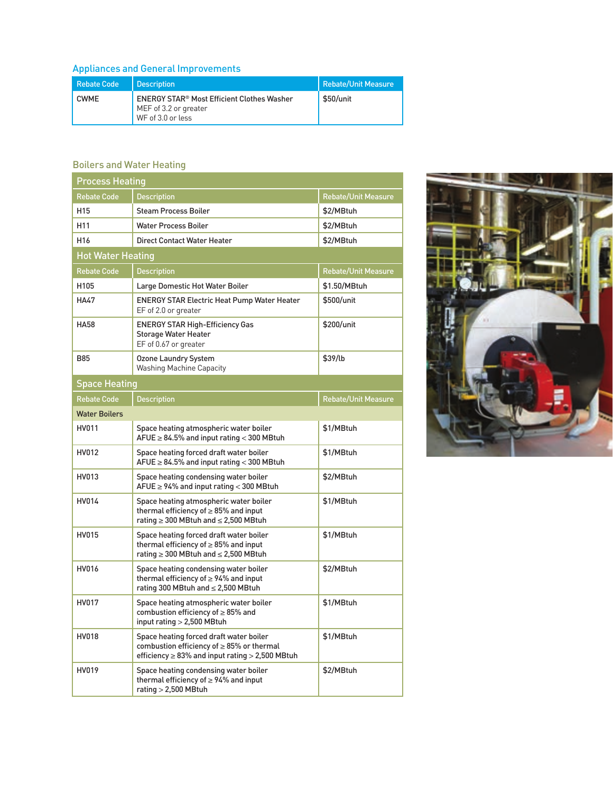## Appliances and General Improvements

| <b>Rebate Code</b> | <b>Description</b>                                                                                         | <b>Rebate/Unit Measure</b> |
|--------------------|------------------------------------------------------------------------------------------------------------|----------------------------|
| <b>CWMF</b>        | <b>ENERGY STAR<sup>®</sup> Most Efficient Clothes Washer</b><br>MEF of 3.2 or greater<br>WF of 3.0 or less | \$50/unit                  |

#### Boilers and Water Heating

| <b>Process Heating</b>   |                                                                                                                                                     |                            |  |
|--------------------------|-----------------------------------------------------------------------------------------------------------------------------------------------------|----------------------------|--|
| <b>Rebate Code</b>       | <b>Description</b>                                                                                                                                  | <b>Rebate/Unit Measure</b> |  |
| H <sub>15</sub>          | <b>Steam Process Boiler</b>                                                                                                                         | \$2/MBtuh                  |  |
| H <sub>11</sub>          | <b>Water Process Boiler</b>                                                                                                                         | \$2/MBtuh                  |  |
| H <sub>16</sub>          | <b>Direct Contact Water Heater</b>                                                                                                                  | \$2/MBtuh                  |  |
| <b>Hot Water Heating</b> |                                                                                                                                                     |                            |  |
| <b>Rebate Code</b>       | <b>Description</b>                                                                                                                                  | <b>Rebate/Unit Measure</b> |  |
| H105                     | Large Domestic Hot Water Boiler                                                                                                                     | \$1.50/MBtuh               |  |
| <b>HA47</b>              | <b>ENERGY STAR Electric Heat Pump Water Heater</b><br>EF of 2.0 or greater                                                                          | \$500/unit                 |  |
| <b>HA58</b>              | <b>ENERGY STAR High-Efficiency Gas</b><br><b>Storage Water Heater</b><br>EF of 0.67 or greater                                                      | \$200/unit                 |  |
| <b>B85</b>               | <b>Ozone Laundry System</b><br><b>Washing Machine Capacity</b>                                                                                      | \$39/lb                    |  |
| <b>Space Heating</b>     |                                                                                                                                                     |                            |  |
| <b>Rebate Code</b>       | <b>Description</b>                                                                                                                                  | <b>Rebate/Unit Measure</b> |  |
| <b>Water Boilers</b>     |                                                                                                                                                     |                            |  |
| HV011                    | Space heating atmospheric water boiler<br>$A FUE \geq 84.5\%$ and input rating < 300 MBtuh                                                          | \$1/MBtuh                  |  |
| HV012                    | Space heating forced draft water boiler<br>$A FUE \geq 84.5\%$ and input rating < 300 MBtuh                                                         | \$1/MBtuh                  |  |
| HV013                    | Space heating condensing water boiler<br>$A FUE \ge 94\%$ and input rating < 300 MBtuh                                                              | \$2/MBtuh                  |  |
| HV014                    | Space heating atmospheric water boiler<br>thermal efficiency of $\geq$ 85% and input<br>rating ≥ 300 MBtuh and ≤ 2,500 MBtuh                        | \$1/MBtuh                  |  |
| HV015                    | Space heating forced draft water boiler<br>thermal efficiency of $\geq$ 85% and input<br>rating ≥ 300 MBtuh and ≤ 2,500 MBtuh                       | \$1/MBtuh                  |  |
| HV016                    | Space heating condensing water boiler<br>thermal efficiency of $\geq$ 94% and input<br>rating 300 MBtuh and ≤ 2,500 MBtuh                           | \$2/MBtuh                  |  |
| HV017                    | Space heating atmospheric water boiler<br>combustion efficiency of $\geq$ 85% and<br>input rating > 2,500 MBtuh                                     | \$1/MBtuh                  |  |
| HV018                    | Space heating forced draft water boiler<br>combustion efficiency of $\geq$ 85% or thermal<br>efficiency $\geq$ 83% and input rating $>$ 2,500 MBtuh | \$1/MBtuh                  |  |
| HV019                    | Space heating condensing water boiler<br>thermal efficiency of $\geq$ 94% and input<br>rating $>$ 2,500 MBtuh                                       | \$2/MBtuh                  |  |

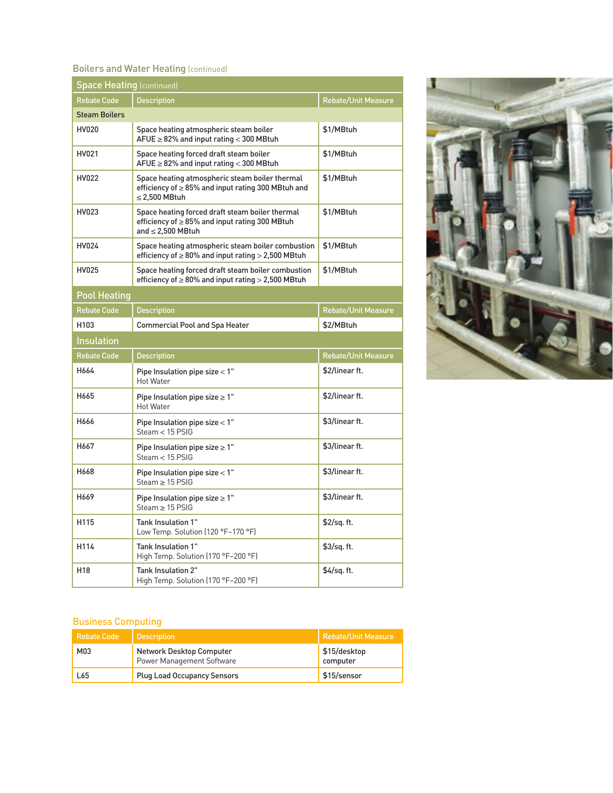#### **Boilers and Water Heating (continued)**

| <b>Space Heating (continued)</b> |                                                                                                                                  |                            |  |
|----------------------------------|----------------------------------------------------------------------------------------------------------------------------------|----------------------------|--|
| <b>Rebate Code</b>               | <b>Description</b>                                                                                                               | <b>Rebate/Unit Measure</b> |  |
| <b>Steam Boilers</b>             |                                                                                                                                  |                            |  |
| <b>HV020</b>                     | Space heating atmospheric steam boiler<br>$AFUE \geq 82\%$ and input rating < 300 MBtuh                                          | \$1/MBtuh                  |  |
| HV021                            | Space heating forced draft steam boiler<br>$A FUE \geq 82\%$ and input rating < 300 MBtuh                                        | \$1/MBtuh                  |  |
| HV022                            | Space heating atmospheric steam boiler thermal<br>efficiency of ≥ 85% and input rating 300 MBtuh and<br>$\leq$ 2,500 MBtuh       | \$1/MBtuh                  |  |
| HV023                            | Space heating forced draft steam boiler thermal<br>efficiency of $\geq$ 85% and input rating 300 MBtuh<br>and $\leq$ 2.500 MBtuh | \$1/MBtuh                  |  |
| HV024                            | Space heating atmospheric steam boiler combustion<br>efficiency of $\geq 80\%$ and input rating $> 2,500$ MBtuh                  | \$1/MBtuh                  |  |
| <b>HV025</b>                     | Space heating forced draft steam boiler combustion<br>efficiency of $\geq 80\%$ and input rating $> 2,500$ MBtuh                 | \$1/MBtuh                  |  |
| <b>Pool Heating</b>              |                                                                                                                                  |                            |  |
| <b>Rebate Code</b>               | <b>Description</b>                                                                                                               | <b>Rebate/Unit Measure</b> |  |
| H <sub>103</sub>                 | <b>Commercial Pool and Spa Heater</b>                                                                                            |                            |  |
| <b>Insulation</b>                |                                                                                                                                  |                            |  |
| <b>Rebate Code</b>               | <b>Description</b>                                                                                                               | <b>Rebate/Unit Measure</b> |  |
| H664                             | Pipe Insulation pipe size < 1"<br><b>Hot Water</b>                                                                               | \$2/linear ft.             |  |
| H665                             | Pipe Insulation pipe size $\geq 1$ "<br><b>Hot Water</b>                                                                         | \$2/linear ft.             |  |
| H666                             | Pipe Insulation pipe size < 1"<br>Steam $<$ 15 PSIG                                                                              | \$3/linear ft.             |  |
| H667                             | Pipe Insulation pipe size $\geq 1$ "<br>Steam $<$ 15 PSIG                                                                        | \$3/linear ft.             |  |
| H668                             | Pipe Insulation pipe size < 1"<br>$Steam > 15$ $PSIG$                                                                            | \$3/linear ft.             |  |
| H669                             | Pipe Insulation pipe size $\geq 1$ "<br>$Steam > 15$ PSIG                                                                        | \$3/linear ft.             |  |
| H115                             | Tank Insulation 1"<br>Low Temp. Solution (120 °F-170 °F)                                                                         | \$2/sq. ft.                |  |
| H114                             | Tank Insulation 1"<br>High Temp. Solution (170 °F-200 °F)                                                                        | \$3/sq. ft.                |  |
| H <sub>18</sub>                  | Tank Insulation 2"<br>High Temp. Solution (170 °F-200 °F)                                                                        | \$4/sq. ft.                |  |



#### Business Computing

| <b>Rebate Code</b> | <b>Description</b>                                           | Rebate/Unit Measure      |
|--------------------|--------------------------------------------------------------|--------------------------|
| M03                | Network Desktop Computer<br><b>Power Management Software</b> | \$15/desktop<br>computer |
| L65                | <b>Plug Load Occupancy Sensors</b>                           | <b>\$15/sensor</b>       |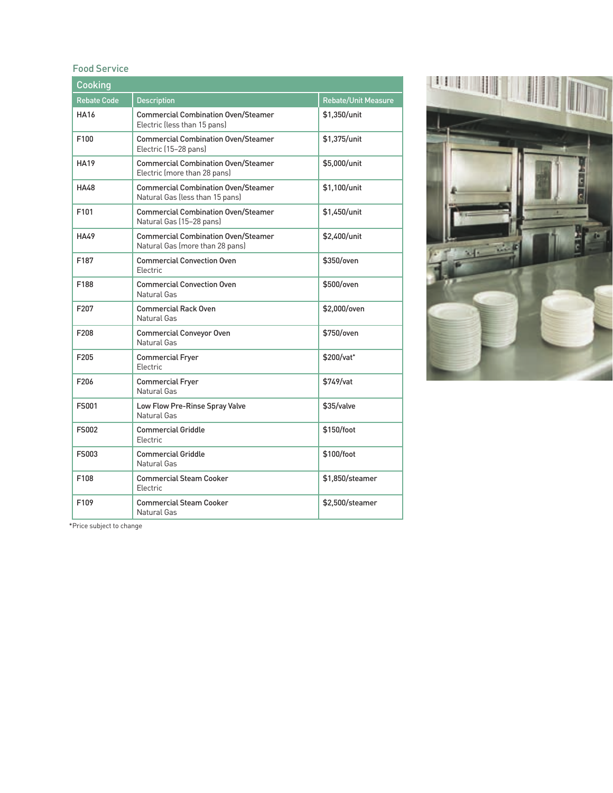#### Food Service

| Cooking            |                                                                               |                            |  |
|--------------------|-------------------------------------------------------------------------------|----------------------------|--|
| <b>Rebate Code</b> | <b>Description</b>                                                            | <b>Rebate/Unit Measure</b> |  |
| <b>HA16</b>        | <b>Commercial Combination Oven/Steamer</b><br>Electric (less than 15 pans)    | \$1,350/unit               |  |
| F100               | <b>Commercial Combination Oven/Steamer</b><br>Electric (15-28 pans)           | \$1,375/unit               |  |
| <b>HA19</b>        | <b>Commercial Combination Oven/Steamer</b><br>Electric (more than 28 pans)    | \$5,000/unit               |  |
| <b>HA48</b>        | <b>Commercial Combination Oven/Steamer</b><br>Natural Gas (less than 15 pans) | \$1,100/unit               |  |
| F101               | <b>Commercial Combination Oven/Steamer</b><br>Natural Gas (15-28 pans)        | \$1,450/unit               |  |
| <b>HA49</b>        | <b>Commercial Combination Oven/Steamer</b><br>Natural Gas (more than 28 pans) | \$2,400/unit               |  |
| F187               | <b>Commercial Convection Oven</b><br><b>Flectric</b>                          | \$350/oven                 |  |
| F188               | <b>Commercial Convection Oven</b><br>Natural Gas                              | \$500/oven                 |  |
| F <sub>20</sub> 7  | <b>Commercial Rack Oven</b><br>Natural Gas                                    | \$2,000/oven               |  |
| F <sub>208</sub>   | <b>Commercial Conveyor Oven</b><br>Natural Gas                                | \$750/oven                 |  |
| F205               | <b>Commercial Fryer</b><br>Electric                                           | \$200/vat*                 |  |
| F206               | <b>Commercial Fryer</b><br>Natural Gas                                        | \$749/vat                  |  |
| <b>FS001</b>       | Low Flow Pre-Rinse Spray Valve<br>Natural Gas                                 | \$35/valve                 |  |
| <b>FS002</b>       | <b>Commercial Griddle</b><br>Electric                                         | \$150/foot                 |  |
| FS003              | <b>Commercial Griddle</b><br>Natural Gas                                      | \$100/foot                 |  |
| F108               | <b>Commercial Steam Cooker</b><br>Electric                                    | \$1,850/steamer            |  |
| F109               | <b>Commercial Steam Cooker</b><br>Natural Gas                                 | \$2,500/steamer            |  |



\*Price subject to change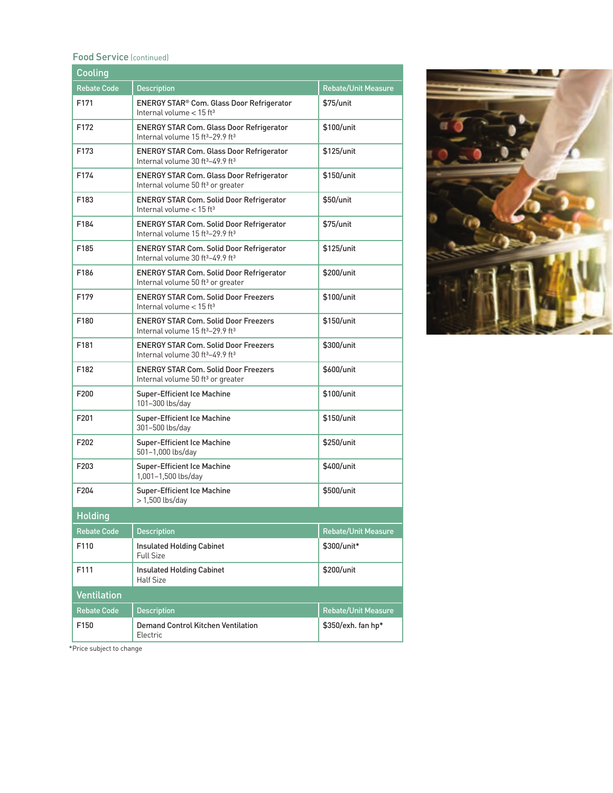#### Food Service (continued)

| Cooling            |                                                                                                             |                            |  |
|--------------------|-------------------------------------------------------------------------------------------------------------|----------------------------|--|
| <b>Rebate Code</b> | <b>Description</b>                                                                                          | <b>Rebate/Unit Measure</b> |  |
| F171               | ENERGY STAR® Com. Glass Door Refrigerator<br>Internal volume $<$ 15 ft <sup>3</sup>                         | \$75/unit                  |  |
| F172               | <b>ENERGY STAR Com. Glass Door Refrigerator</b><br>Internal volume 15 ft <sup>3</sup> -29.9 ft <sup>3</sup> | \$100/unit                 |  |
| F173               | <b>ENERGY STAR Com. Glass Door Refrigerator</b><br>Internal volume 30 ft <sup>3</sup> -49.9 ft <sup>3</sup> | \$125/unit                 |  |
| F174               | <b>ENERGY STAR Com. Glass Door Refrigerator</b><br>Internal volume 50 ft <sup>3</sup> or greater            | \$150/unit                 |  |
| F183               | <b>ENERGY STAR Com. Solid Door Refrigerator</b><br>Internal volume $<$ 15 ft <sup>3</sup>                   | \$50/unit                  |  |
| F184               | <b>ENERGY STAR Com. Solid Door Refrigerator</b><br>Internal volume 15 ft <sup>3</sup> -29.9 ft <sup>3</sup> | \$75/unit                  |  |
| F185               | <b>ENERGY STAR Com. Solid Door Refrigerator</b><br>Internal volume 30 ft <sup>3</sup> -49.9 ft <sup>3</sup> | \$125/unit                 |  |
| F186               | <b>ENERGY STAR Com. Solid Door Refrigerator</b><br>Internal volume 50 ft <sup>3</sup> or greater            | \$200/unit                 |  |
| F179               | <b>ENERGY STAR Com. Solid Door Freezers</b><br>Internal volume $<$ 15 ft <sup>3</sup>                       | \$100/unit                 |  |
| F180               | <b>ENERGY STAR Com. Solid Door Freezers</b><br>Internal volume 15 ft <sup>3</sup> -29.9 ft <sup>3</sup>     | \$150/unit                 |  |
| F181               | <b>ENERGY STAR Com. Solid Door Freezers</b><br>Internal volume 30 ft <sup>3</sup> -49.9 ft <sup>3</sup>     | \$300/unit                 |  |
| F182               | <b>ENERGY STAR Com. Solid Door Freezers</b><br>Internal volume 50 ft <sup>3</sup> or greater                | \$600/unit                 |  |
| F200               | <b>Super-Efficient Ice Machine</b><br>101-300 lbs/day                                                       | \$100/unit                 |  |
| F201               | <b>Super-Efficient Ice Machine</b><br>301-500 lbs/day                                                       | \$150/unit                 |  |
| F202               | <b>Super-Efficient Ice Machine</b><br>501-1,000 lbs/day                                                     | \$250/unit                 |  |
| F203               | <b>Super-Efficient Ice Machine</b><br>1,001-1,500 lbs/day                                                   | \$400/unit                 |  |
| F204               | <b>Super-Efficient Ice Machine</b><br>$>1,500$ lbs/day                                                      | \$500/unit                 |  |
| <b>Holding</b>     |                                                                                                             |                            |  |
| <b>Rebate Code</b> | <b>Description</b>                                                                                          | <b>Rebate/Unit Measure</b> |  |
| F110               | <b>Insulated Holding Cabinet</b><br><b>Full Size</b>                                                        | \$300/unit*                |  |
| F111               | <b>Insulated Holding Cabinet</b><br><b>Half Size</b>                                                        | \$200/unit                 |  |
| <b>Ventilation</b> |                                                                                                             |                            |  |
| <b>Rebate Code</b> | <b>Description</b>                                                                                          | <b>Rebate/Unit Measure</b> |  |
| F150               | <b>Demand Control Kitchen Ventilation</b><br>Electric                                                       | \$350/exh. fan hp*         |  |



\*Price subject to change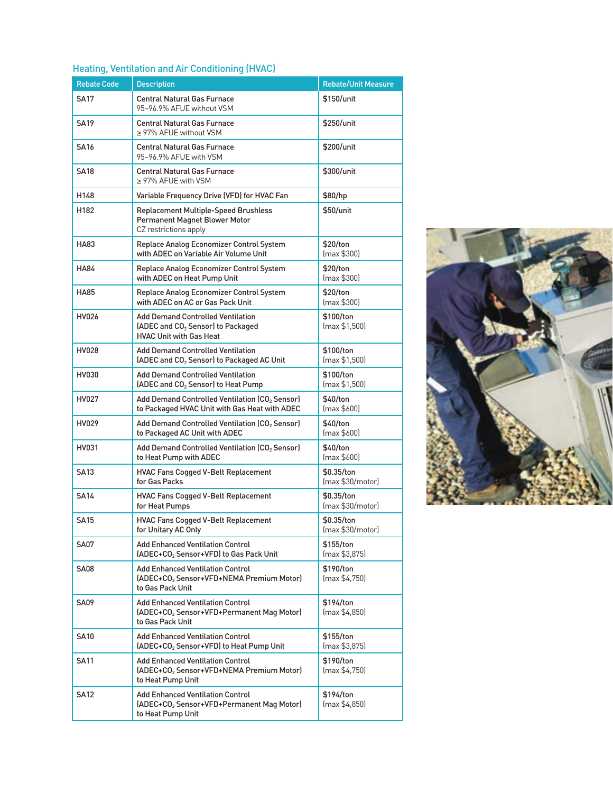### Heating, Ventilation and Air Conditioning (HVAC)

| <b>Rebate Code</b> | <b>Description</b>                                                                                                          | <b>Rebate/Unit Measure</b>     |
|--------------------|-----------------------------------------------------------------------------------------------------------------------------|--------------------------------|
| <b>SA17</b>        | <b>Central Natural Gas Furnace</b><br>95-96.9% AFUE without VSM                                                             | \$150/unit                     |
| <b>SA19</b>        | <b>Central Natural Gas Furnace</b><br>≥ 97% AFUE without VSM                                                                | \$250/unit                     |
| <b>SA16</b>        | <b>Central Natural Gas Furnace</b><br>95-96.9% AFUE with VSM                                                                | \$200/unit                     |
| <b>SA18</b>        | <b>Central Natural Gas Furnace</b><br>$\geq$ 97% AFUE with VSM                                                              | \$300/unit                     |
| H148               | Variable Frequency Drive (VFD) for HVAC Fan                                                                                 | \$80/hp                        |
| H182               | <b>Replacement Multiple-Speed Brushless</b><br>Permanent Magnet Blower Motor<br>CZ restrictions apply                       | \$50/unit                      |
| HA83               | Replace Analog Economizer Control System<br>with ADEC on Variable Air Volume Unit                                           | \$20/ton<br>(max \$300]        |
| HA84               | Replace Analog Economizer Control System<br>with ADEC on Heat Pump Unit                                                     | \$20/ton<br>(max \$300]        |
| <b>HA85</b>        | Replace Analog Economizer Control System<br>with ADEC on AC or Gas Pack Unit                                                | \$20/ton<br>(max \$300]        |
| HV026              | <b>Add Demand Controlled Ventilation</b><br>(ADEC and CO <sub>2</sub> Sensor) to Packaged<br><b>HVAC Unit with Gas Heat</b> | \$100/ton<br>(max \$1,500)     |
| <b>HV028</b>       | <b>Add Demand Controlled Ventilation</b><br>(ADEC and CO <sub>2</sub> Sensor) to Packaged AC Unit                           | \$100/ton<br>(max \$1,500)     |
| HV030              | <b>Add Demand Controlled Ventilation</b><br>(ADEC and CO <sub>2</sub> Sensor) to Heat Pump                                  | \$100/ton<br>(max \$1,500)     |
| HV027              | Add Demand Controlled Ventilation (CO <sub>2</sub> Sensor)<br>to Packaged HVAC Unit with Gas Heat with ADEC                 | \$40/ton<br>(max \$600]        |
| HV029              | Add Demand Controlled Ventilation (CO <sub>2</sub> Sensor)<br>to Packaged AC Unit with ADEC                                 | \$40/ton<br>(max \$600]        |
| HV031              | Add Demand Controlled Ventilation (CO <sub>2</sub> Sensor)<br>to Heat Pump with ADEC                                        | \$40/ton<br>(max \$600]        |
| <b>SA13</b>        | <b>HVAC Fans Cogged V-Belt Replacement</b><br>for Gas Packs                                                                 | \$0.35/ton<br>(max \$30/motor) |
| <b>SA14</b>        | <b>HVAC Fans Cogged V-Belt Replacement</b><br>for Heat Pumps                                                                | \$0.35/ton<br>(max \$30/motor) |
| <b>SA15</b>        | HVAC Fans Cogged V-Belt Replacement<br>for Unitary AC Only                                                                  | \$0.35/ton<br>(max \$30/motor) |
| SA07               | <b>Add Enhanced Ventilation Control</b><br>(ADEC+CO <sub>2</sub> Sensor+VFD) to Gas Pack Unit                               | \$155/ton<br>(max \$3,875)     |
| <b>SA08</b>        | <b>Add Enhanced Ventilation Control</b><br>(ADEC+CO <sub>2</sub> Sensor+VFD+NEMA Premium Motor)<br>to Gas Pack Unit         | \$190/ton<br>(max \$4,750)     |
| SA09               | <b>Add Enhanced Ventilation Control</b><br>(ADEC+CO <sub>2</sub> Sensor+VFD+Permanent Mag Motor)<br>to Gas Pack Unit        | \$194/ton<br>(max \$4,850)     |
| <b>SA10</b>        | <b>Add Enhanced Ventilation Control</b><br>(ADEC+CO <sub>2</sub> Sensor+VFD) to Heat Pump Unit                              | \$155/ton<br>(max \$3,875)     |
| <b>SA11</b>        | <b>Add Enhanced Ventilation Control</b><br>(ADEC+CO <sub>2</sub> Sensor+VFD+NEMA Premium Motor)<br>to Heat Pump Unit        | \$190/ton<br>(max \$4,750)     |
| <b>SA12</b>        | <b>Add Enhanced Ventilation Control</b><br>(ADEC+CO <sub>2</sub> Sensor+VFD+Permanent Mag Motor)<br>to Heat Pump Unit       | \$194/ton<br>(max \$4,850)     |

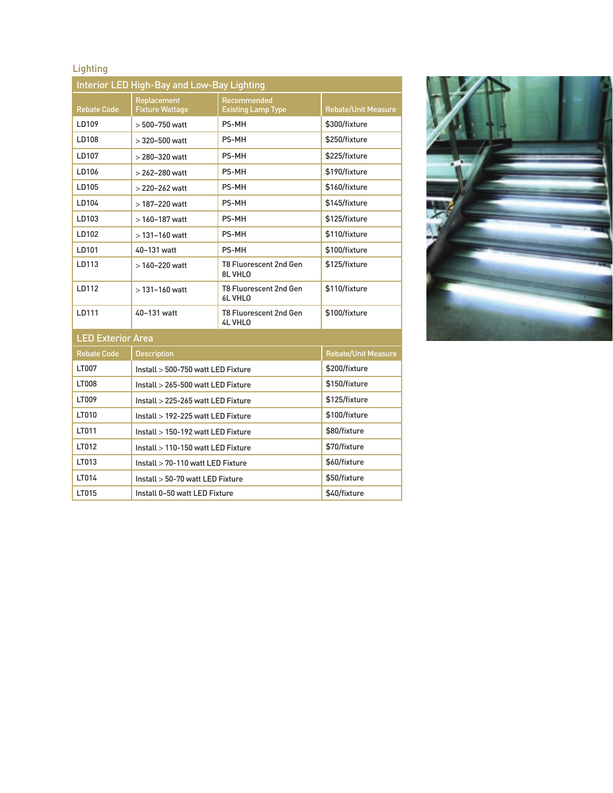# **Lighting**

|                          | Interior LED High-Bay and Low-Bay Lighting |                                                 |                            |  |
|--------------------------|--------------------------------------------|-------------------------------------------------|----------------------------|--|
| <b>Rebate Code</b>       | Replacement<br><b>Fixture Wattage</b>      | Recommended<br><b>Existing Lamp Type</b>        | <b>Rebate/Unit Measure</b> |  |
| LD109                    | $>500 - 750$ watt                          | PS-MH                                           | \$300/fixture              |  |
| LD108                    | $>$ 320-500 watt                           | <b>PS-MH</b>                                    | \$250/fixture              |  |
| LD107                    | $>$ 280-320 watt                           | <b>PS-MH</b>                                    | \$225/fixture              |  |
| LD106                    | $>$ 262-280 watt                           | <b>PS-MH</b>                                    | \$190/fixture              |  |
| LD105                    | $>$ 220-262 watt                           | PS-MH                                           | \$160/fixture              |  |
| LD104                    | $>$ 187-220 watt                           | <b>PS-MH</b>                                    | \$145/fixture              |  |
| LD103                    | $>160 - 187$ watt                          | <b>PS-MH</b>                                    | \$125/fixture              |  |
| LD102                    | $>131 - 160$ watt                          | PS-MH                                           | \$110/fixture              |  |
| LD101                    | 40-131 watt                                | <b>PS-MH</b>                                    | \$100/fixture              |  |
| LD113                    | $>160 - 220$ watt                          | <b>T8 Fluorescent 2nd Gen</b><br>8L VHLO        | \$125/fixture              |  |
| LD112                    | $>131 - 160$ watt                          | <b>T8 Fluorescent 2nd Gen</b><br>6L VHLO        | \$110/fixture              |  |
| LD111                    | 40-131 watt                                | <b>T8 Fluorescent 2nd Gen</b><br><b>4L VHLO</b> | \$100/fixture              |  |
| <b>LED Exterior Area</b> |                                            |                                                 |                            |  |
| <b>Rebate Code</b>       | <b>Description</b>                         |                                                 | Rebate/Unit Measure        |  |
| LT007                    | Install > 500-750 watt LED Fixture         |                                                 | \$200/fixture              |  |
| <b>LT008</b>             | Install > 265-500 watt LED Fixture         |                                                 | \$150/fixture              |  |
| LT009                    | Install > 225-265 watt LED Fixture         |                                                 | \$125/fixture              |  |
| LT010                    | Install > 192-225 watt LED Fixture         |                                                 | \$100/fixture              |  |
| LT011                    | Install > 150-192 watt LED Fixture         |                                                 | \$80/fixture               |  |
| LT012                    | Install > 110-150 watt LED Fixture         |                                                 | \$70/fixture               |  |
| LT013                    |                                            | Install > 70-110 watt LED Fixture               |                            |  |
| LT014                    | Install > 50-70 watt LED Fixture           |                                                 | \$50/fixture               |  |
| LT015                    | Install 0-50 watt LED Fixture              |                                                 | \$40/fixture               |  |

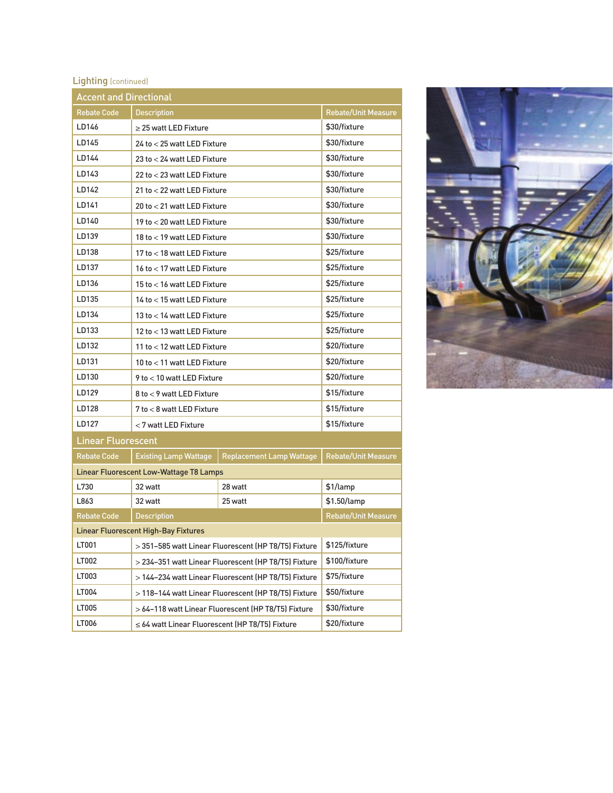# Lighting (continued)

| <b>Accent and Directional</b>               |                                                      |                                                      |                            |
|---------------------------------------------|------------------------------------------------------|------------------------------------------------------|----------------------------|
| <b>Rebate Code</b>                          | <b>Description</b>                                   |                                                      | <b>Rebate/Unit Measure</b> |
| LD146                                       | > 25 watt LED Fixture                                |                                                      | \$30/fixture               |
| LD145                                       | 24 to < 25 watt LED Fixture                          |                                                      | \$30/fixture               |
| LD144                                       | 23 to < 24 watt LED Fixture                          |                                                      | \$30/fixture               |
| LD143                                       | 22 to < 23 watt LED Fixture                          |                                                      | \$30/fixture               |
| LD142                                       | 21 to < 22 watt LED Fixture                          |                                                      | \$30/fixture               |
| LD141                                       | 20 to < 21 watt LED Fixture                          |                                                      | \$30/fixture               |
| LD140                                       | 19 to < 20 watt LED Fixture                          |                                                      | \$30/fixture               |
| LD139                                       | 18 to < 19 watt LED Fixture                          |                                                      | \$30/fixture               |
| LD138                                       | 17 to < 18 watt LED Fixture                          |                                                      | \$25/fixture               |
| LD137                                       | 16 to < 17 watt LED Fixture                          |                                                      | \$25/fixture               |
| LD136                                       | 15 to < 16 watt LED Fixture                          |                                                      | \$25/fixture               |
| LD135                                       | 14 to < 15 watt LED Fixture                          |                                                      | \$25/fixture               |
| LD134                                       | 13 to < 14 watt LED Fixture                          |                                                      | \$25/fixture               |
| LD133                                       | 12 to < 13 watt LED Fixture                          |                                                      | \$25/fixture               |
| LD132                                       | 11 to < 12 watt LED Fixture                          |                                                      | \$20/fixture               |
| LD131                                       | 10 to < 11 watt LED Fixture                          |                                                      | \$20/fixture               |
| LD130                                       | 9 to < 10 watt LED Fixture                           |                                                      | \$20/fixture               |
| LD129                                       | 8 to < 9 watt LED Fixture                            |                                                      | \$15/fixture               |
| LD128                                       | 7 to < 8 watt LED Fixture                            |                                                      | \$15/fixture               |
| LD127                                       | < 7 watt LED Fixture                                 |                                                      | \$15/fixture               |
| <b>Linear Fluorescent</b>                   |                                                      |                                                      |                            |
| <b>Rebate Code</b>                          | <b>Existing Lamp Wattage</b>                         | <b>Replacement Lamp Wattage</b>                      | Rebate/Unit Measure        |
|                                             | Linear Fluorescent Low-Wattage T8 Lamps              |                                                      |                            |
| L730                                        | 32 watt                                              | 28 watt                                              | \$1/lamp                   |
| L863                                        | 32 watt                                              | 25 watt                                              | \$1.50/lamp                |
| <b>Rebate Code</b>                          | <b>Description</b>                                   |                                                      | <b>Rebate/Unit Measure</b> |
| <b>Linear Fluorescent High-Bay Fixtures</b> |                                                      |                                                      |                            |
| LT001                                       | > 351-585 watt Linear Fluorescent (HP T8/T5) Fixture |                                                      | \$125/fixture              |
| LT002                                       | > 234-351 watt Linear Fluorescent (HP T8/T5) Fixture |                                                      | \$100/fixture              |
| LT003                                       |                                                      | > 144-234 watt Linear Fluorescent (HP T8/T5) Fixture | \$75/fixture               |
| LT004                                       |                                                      | > 118-144 watt Linear Fluorescent (HP T8/T5) Fixture | \$50/fixture               |
| LT005                                       |                                                      | > 64-118 watt Linear Fluorescent (HP T8/T5) Fixture  | \$30/fixture               |
| LT006                                       | $\leq$ 64 watt Linear Fluorescent (HP T8/T5) Fixture |                                                      | \$20/fixture               |

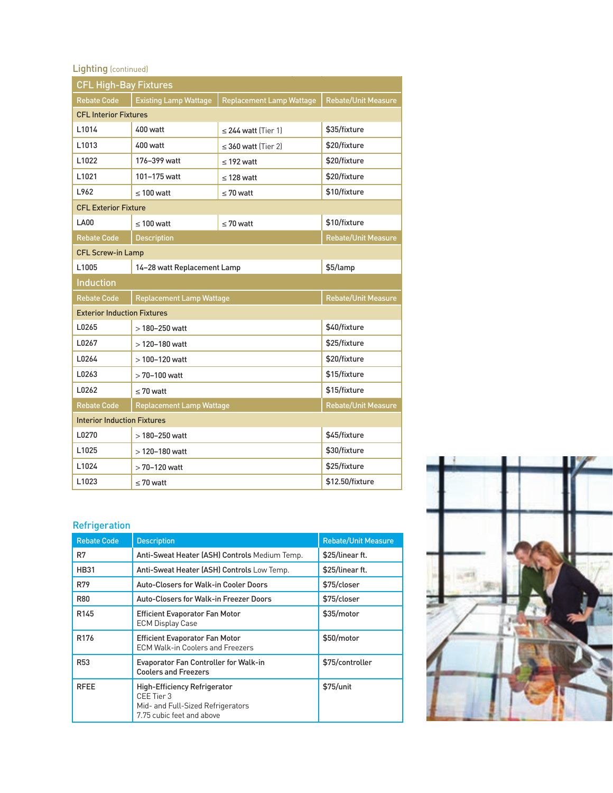## Lighting (continued)

| <b>CFL High-Bay Fixtures</b>       |                                 |                                 |                            |  |
|------------------------------------|---------------------------------|---------------------------------|----------------------------|--|
| <b>Rebate Code</b>                 | <b>Existing Lamp Wattage</b>    | <b>Replacement Lamp Wattage</b> | <b>Rebate/Unit Measure</b> |  |
| <b>CFL Interior Fixtures</b>       |                                 |                                 |                            |  |
| L1014                              | 400 watt                        | $\leq$ 244 watt (Tier 1)        | \$35/fixture               |  |
| L <sub>1013</sub>                  | $400$ watt                      | $\leq$ 360 watt (Tier 2)        | \$20/fixture               |  |
| L1022                              | 176-399 watt                    | $<$ 192 watt                    | \$20/fixture               |  |
| L1021                              | 101-175 watt                    | $<$ 128 watt                    | \$20/fixture               |  |
| L962                               | $< 100$ watt                    | $< 70$ watt                     | \$10/fixture               |  |
| <b>CFL Exterior Fixture</b>        |                                 |                                 |                            |  |
| <b>LA00</b>                        | $< 100$ watt                    | $< 70$ watt                     | \$10/fixture               |  |
| <b>Rebate Code</b>                 | <b>Description</b>              |                                 | <b>Rebate/Unit Measure</b> |  |
| <b>CFL Screw-in Lamp</b>           |                                 |                                 |                            |  |
| L <sub>1005</sub>                  | 14-28 watt Replacement Lamp     |                                 | \$5/lamp                   |  |
| <b>Induction</b>                   |                                 |                                 |                            |  |
| <b>Rebate Code</b>                 | <b>Replacement Lamp Wattage</b> |                                 | <b>Rebate/Unit Measure</b> |  |
| <b>Exterior Induction Fixtures</b> |                                 |                                 |                            |  |
| L0265                              | $>180-250$ watt                 |                                 | \$40/fixture               |  |
| L0267                              | $>120 - 180$ watt               |                                 | \$25/fixture               |  |
| L0264                              | $>100 - 120$ watt               |                                 | \$20/fixture               |  |
| L0263                              | $>70-100$ watt                  |                                 | \$15/fixture               |  |
| L0262                              | $< 70$ watt                     |                                 | \$15/fixture               |  |
| <b>Rebate Code</b>                 | <b>Replacement Lamp Wattage</b> |                                 | Rebate/Unit Measure        |  |
| <b>Interior Induction Fixtures</b> |                                 |                                 |                            |  |
| L0270                              | $>180-250$ watt                 |                                 | \$45/fixture               |  |
| L1025                              | $>120 - 180$ watt               |                                 | \$30/fixture               |  |
| L1024                              | $>70-120$ watt                  |                                 | \$25/fixture               |  |
| L1023                              | $\leq 70$ watt                  |                                 | \$12.50/fixture            |  |

### Refrigeration

| <b>Rebate Code</b> | <b>Description</b>                                                                                                  | <b>Rebate/Unit Measure</b> |
|--------------------|---------------------------------------------------------------------------------------------------------------------|----------------------------|
| R7                 | Anti-Sweat Heater (ASH) Controls Medium Temp.                                                                       | \$25/linear ft.            |
| <b>HB31</b>        | Anti-Sweat Heater (ASH) Controls Low Temp.                                                                          | \$25/linear ft.            |
| R79                | <b>Auto-Closers for Walk-in Cooler Doors</b>                                                                        | \$75/closer                |
| R80                | Auto-Closers for Walk-in Freezer Doors                                                                              | \$75/closer                |
| R <sub>145</sub>   | <b>Efficient Evaporator Fan Motor</b><br><b>ECM Display Case</b>                                                    | \$35/motor                 |
| R <sub>176</sub>   | <b>Efficient Evaporator Fan Motor</b><br><b>ECM Walk-in Coolers and Freezers</b>                                    | \$50/motor                 |
| R <sub>53</sub>    | <b>Evaporator Fan Controller for Walk-in</b><br><b>Coolers and Freezers</b>                                         | \$75/controller            |
| <b>RFEE</b>        | <b>High-Efficiency Refrigerator</b><br>CEE Tier 3<br>Mid- and Full-Sized Refrigerators<br>7.75 cubic feet and above | \$75/unit                  |

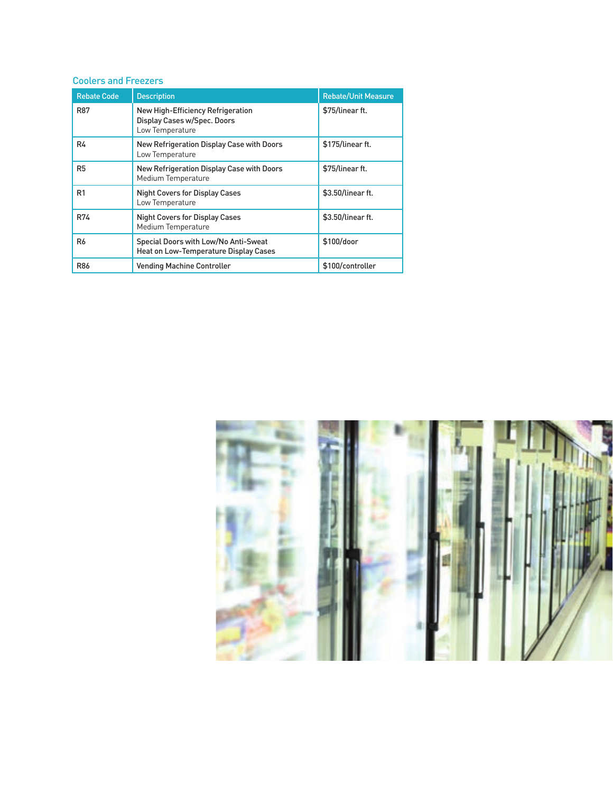#### Coolers and Freezers

| <b>Rebate Code</b> | <b>Description</b>                                                                  | <b>Rebate/Unit Measure</b> |
|--------------------|-------------------------------------------------------------------------------------|----------------------------|
| <b>R87</b>         | New High-Efficiency Refrigeration<br>Display Cases w/Spec. Doors<br>Low Temperature | \$75/linear ft.            |
| R4                 | New Refrigeration Display Case with Doors<br>Low Temperature                        | \$175/linear ft.           |
| R <sub>5</sub>     | New Refrigeration Display Case with Doors<br>Medium Temperature                     | \$75/linear ft.            |
| R <sub>1</sub>     | <b>Night Covers for Display Cases</b><br>Low Temperature                            | \$3.50/linear ft.          |
| R74                | <b>Night Covers for Display Cases</b><br>Medium Temperature                         | \$3.50/linear ft.          |
| R <sub>6</sub>     | Special Doors with Low/No Anti-Sweat<br>Heat on Low-Temperature Display Cases       | \$100/door                 |
| <b>R86</b>         | <b>Vending Machine Controller</b>                                                   | \$100/controller           |